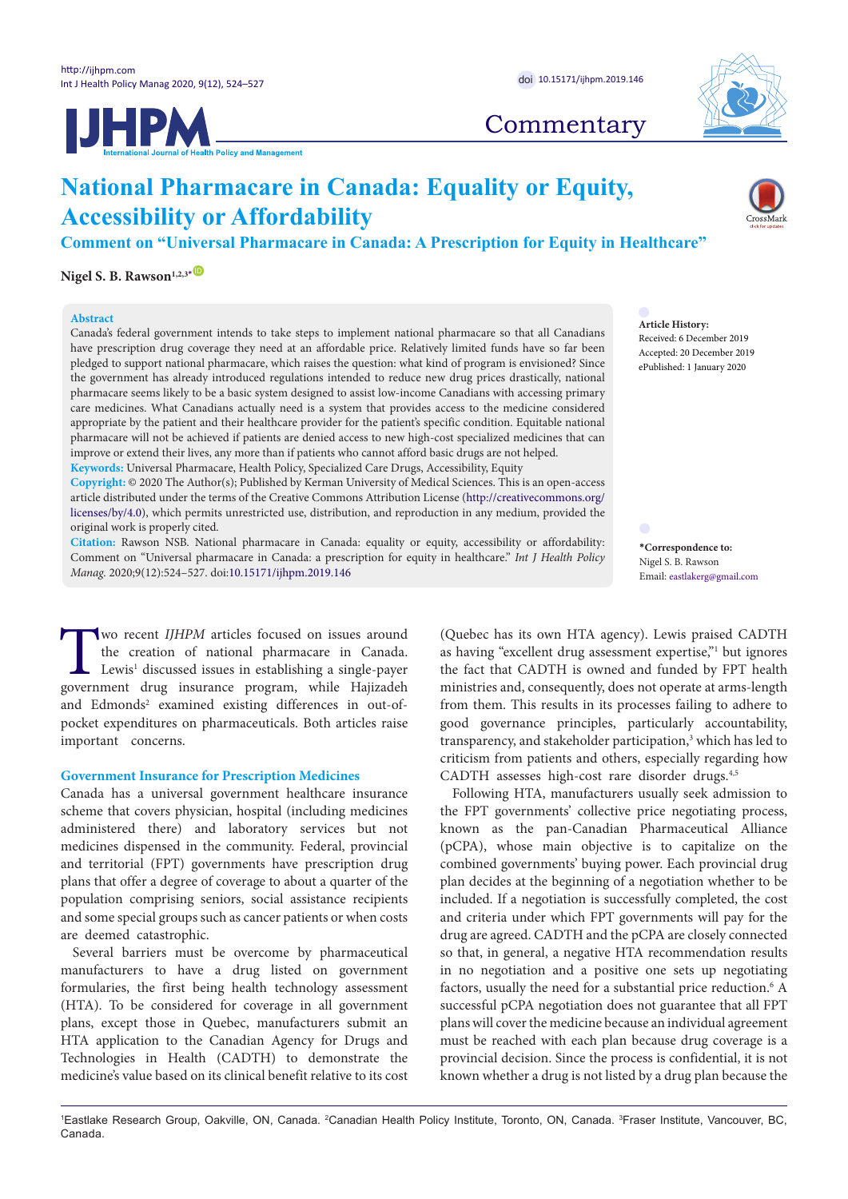**UHPM** 



# **Commentary**

# **National Pharmacare in Canada: Equality or Equity, Accessibility or Affordability**

**Comment on "Universal Pharmacare in Canada: A Prescription for Equity in Healthcare"**

Nigel S. B. Rawson<sup>1,2,3</sub><sup>[\\*](#page-0-0)</sup></sup>

#### **Abstract**

Canada's federal government intends to take steps to implement national pharmacare so that all Canadians have prescription drug coverage they need at an affordable price. Relatively limited funds have so far been pledged to support national pharmacare, which raises the question: what kind of program is envisioned? Since the government has already introduced regulations intended to reduce new drug prices drastically, national pharmacare seems likely to be a basic system designed to assist low-income Canadians with accessing primary care medicines. What Canadians actually need is a system that provides access to the medicine considered appropriate by the patient and their healthcare provider for the patient's specific condition. Equitable national pharmacare will not be achieved if patients are denied access to new high-cost specialized medicines that can improve or extend their lives, any more than if patients who cannot afford basic drugs are not helped. **Keywords:** Universal Pharmacare, Health Policy, Specialized Care Drugs, Accessibility, Equity

**Copyright:** © 2020 The Author(s); Published by Kerman University of Medical Sciences. This is an open-access article distributed under the terms of the Creative Commons Attribution License [\(http://creativecommons.org/](http://creativecommons.org/licenses/by/4.0) [licenses/by/4.0](http://creativecommons.org/licenses/by/4.0)), which permits unrestricted use, distribution, and reproduction in any medium, provided the original work is properly cited.

**Citation:** Rawson NSB. National pharmacare in Canada: equality or equity, accessibility or affordability: Comment on "Universal pharmacare in Canada: a prescription for equity in healthcare." *Int J Health Policy Manag.* 2020;9(12):524–527. doi:[10.15171/ijhpm.2019.146](https://doi.org/10.15171/ijhpm.2019.146)

Two recent *IJHPM* articles focused on issues around<br>the creation of national pharmacare in Canada.<br>Lewis<sup>1</sup> discussed issues in establishing a single-payer<br>government drug insurance program, while Hajizadeh the creation of national pharmacare in Canada. Lewis<sup>1</sup> discussed issues in establishing a single-payer government drug insurance program, while Hajizadeh and Edmonds<sup>2</sup> examined existing differences in out-ofpocket expenditures on pharmaceuticals. Both articles raise important concerns.

# **Government Insurance for Prescription Medicines**

Canada has a universal government healthcare insurance scheme that covers physician, hospital (including medicines administered there) and laboratory services but not medicines dispensed in the community. Federal, provincial and territorial (FPT) governments have prescription drug plans that offer a degree of coverage to about a quarter of the population comprising seniors, social assistance recipients and some special groups such as cancer patients or when costs are deemed catastrophic.

Several barriers must be overcome by pharmaceutical manufacturers to have a drug listed on government formularies, the first being health technology assessment (HTA). To be considered for coverage in all government plans, except those in Quebec, manufacturers submit an HTA application to the Canadian Agency for Drugs and Technologies in Health (CADTH) to demonstrate the medicine's value based on its clinical benefit relative to its cost

(Quebec has its own HTA agency). Lewis praised CADTH as having "excellent drug assessment expertise,"<sup>1</sup> but ignores the fact that CADTH is owned and funded by FPT health ministries and, consequently, does not operate at arms-length from them. This results in its processes failing to adhere to good governance principles, particularly accountability, transparency, and stakeholder participation,<sup>3</sup> which has led to criticism from patients and others, especially regarding how CADTH assesses high-cost rare disorder drugs.<sup>4,5</sup>

Following HTA, manufacturers usually seek admission to the FPT governments' collective price negotiating process, known as the pan-Canadian Pharmaceutical Alliance (pCPA), whose main objective is to capitalize on the combined governments' buying power. Each provincial drug plan decides at the beginning of a negotiation whether to be included. If a negotiation is successfully completed, the cost and criteria under which FPT governments will pay for the drug are agreed. CADTH and the pCPA are closely connected so that, in general, a negative HTA recommendation results in no negotiation and a positive one sets up negotiating factors, usually the need for a substantial price reduction.<sup>6</sup> A successful pCPA negotiation does not guarantee that all FPT plans will cover the medicine because an individual agreement must be reached with each plan because drug coverage is a provincial decision. Since the process is confidential, it is not known whether a drug is not listed by a drug plan because the

**Article History:** Received: 6 December 2019 Accepted: 20 December 2019 ePublished: 1 January 2020

<span id="page-0-0"></span>**\*Correspondence to:** Nigel S. B. Rawson Email: eastlakerg@gmail.com

<sup>1</sup>Eastlake Research Group, Oakville, ON, Canada. <sup>2</sup>Canadian Health Policy Institute, Toronto, ON, Canada. <sup>3</sup>Fraser Institute, Vancouver, BC, Canada.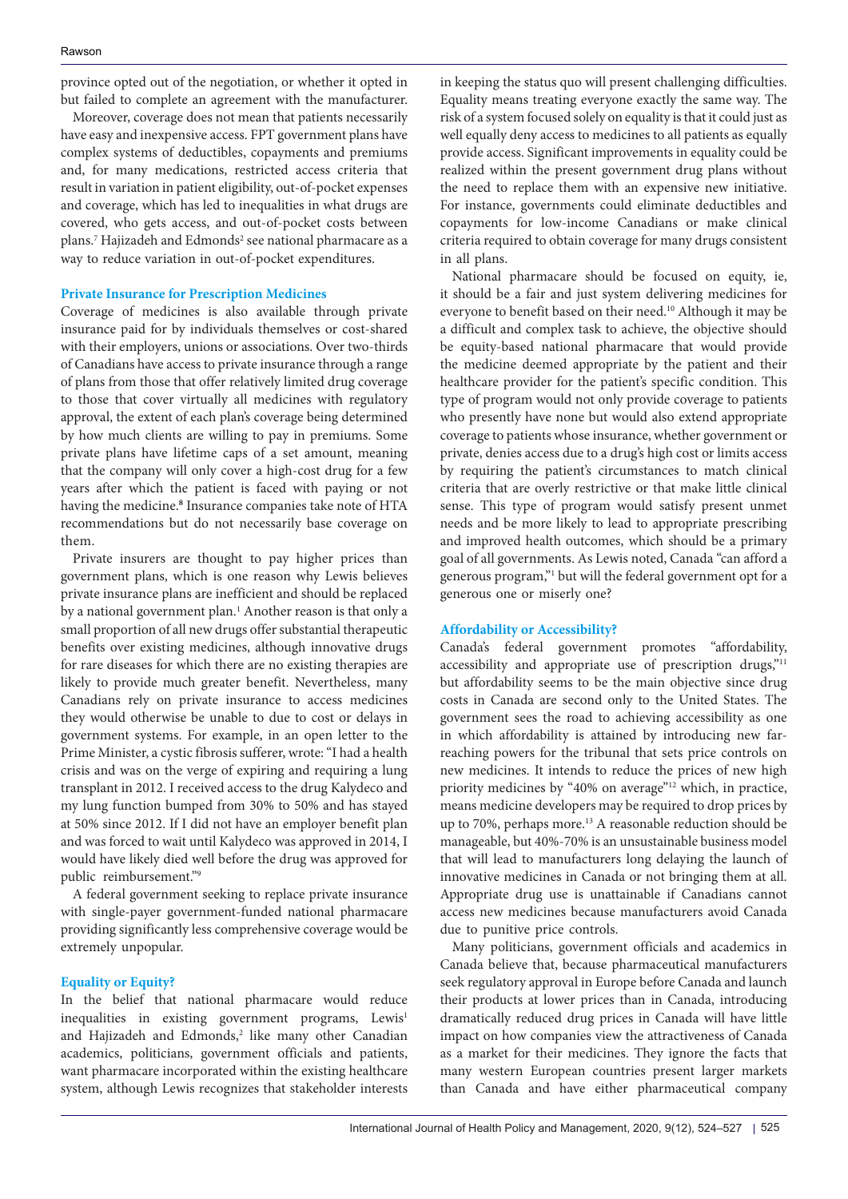province opted out of the negotiation, or whether it opted in but failed to complete an agreement with the manufacturer.

Moreover, coverage does not mean that patients necessarily have easy and inexpensive access. FPT government plans have complex systems of deductibles, copayments and premiums and, for many medications, restricted access criteria that result in variation in patient eligibility, out-of-pocket expenses and coverage, which has led to inequalities in what drugs are covered, who gets access, and out-of-pocket costs between plans.<sup>7</sup> Hajizadeh and Edmonds<sup>2</sup> see national pharmacare as a way to reduce variation in out-of-pocket expenditures.

# **Private Insurance for Prescription Medicines**

Coverage of medicines is also available through private insurance paid for by individuals themselves or cost-shared with their employers, unions or associations. Over two-thirds of Canadians have access to private insurance through a range of plans from those that offer relatively limited drug coverage to those that cover virtually all medicines with regulatory approval, the extent of each plan's coverage being determined by how much clients are willing to pay in premiums. Some private plans have lifetime caps of a set amount, meaning that the company will only cover a high-cost drug for a few years after which the patient is faced with paying or not having the medicine.**<sup>8</sup>** Insurance companies take note of HTA recommendations but do not necessarily base coverage on them.

Private insurers are thought to pay higher prices than government plans, which is one reason why Lewis believes private insurance plans are inefficient and should be replaced by a national government plan.<sup>1</sup> Another reason is that only a small proportion of all new drugs offer substantial therapeutic benefits over existing medicines, although innovative drugs for rare diseases for which there are no existing therapies are likely to provide much greater benefit. Nevertheless, many Canadians rely on private insurance to access medicines they would otherwise be unable to due to cost or delays in government systems. For example, in an open letter to the Prime Minister, a cystic fibrosis sufferer, wrote: "I had a health crisis and was on the verge of expiring and requiring a lung transplant in 2012. I received access to the drug Kalydeco and my lung function bumped from 30% to 50% and has stayed at 50% since 2012. If I did not have an employer benefit plan and was forced to wait until Kalydeco was approved in 2014, I would have likely died well before the drug was approved for public reimbursement."9

A federal government seeking to replace private insurance with single-payer government-funded national pharmacare providing significantly less comprehensive coverage would be extremely unpopular.

# **Equality or Equity?**

In the belief that national pharmacare would reduce inequalities in existing government programs, Lewis<sup>1</sup> and Hajizadeh and Edmonds,<sup>2</sup> like many other Canadian academics, politicians, government officials and patients, want pharmacare incorporated within the existing healthcare system, although Lewis recognizes that stakeholder interests in keeping the status quo will present challenging difficulties. Equality means treating everyone exactly the same way. The risk of a system focused solely on equality is that it could just as well equally deny access to medicines to all patients as equally provide access. Significant improvements in equality could be realized within the present government drug plans without the need to replace them with an expensive new initiative. For instance, governments could eliminate deductibles and copayments for low-income Canadians or make clinical criteria required to obtain coverage for many drugs consistent in all plans.

National pharmacare should be focused on equity, ie, it should be a fair and just system delivering medicines for everyone to benefit based on their need.<sup>10</sup> Although it may be a difficult and complex task to achieve, the objective should be equity-based national pharmacare that would provide the medicine deemed appropriate by the patient and their healthcare provider for the patient's specific condition. This type of program would not only provide coverage to patients who presently have none but would also extend appropriate coverage to patients whose insurance, whether government or private, denies access due to a drug's high cost or limits access by requiring the patient's circumstances to match clinical criteria that are overly restrictive or that make little clinical sense. This type of program would satisfy present unmet needs and be more likely to lead to appropriate prescribing and improved health outcomes, which should be a primary goal of all governments. As Lewis noted, Canada "can afford a generous program,"1 but will the federal government opt for a generous one or miserly one?

#### **Affordability or Accessibility?**

Canada's federal government promotes "affordability, accessibility and appropriate use of prescription drugs,"11 but affordability seems to be the main objective since drug costs in Canada are second only to the United States. The government sees the road to achieving accessibility as one in which affordability is attained by introducing new farreaching powers for the tribunal that sets price controls on new medicines. It intends to reduce the prices of new high priority medicines by "40% on average"<sup>12</sup> which, in practice, means medicine developers may be required to drop prices by up to 70%, perhaps more.<sup>13</sup> A reasonable reduction should be manageable, but 40%-70% is an unsustainable business model that will lead to manufacturers long delaying the launch of innovative medicines in Canada or not bringing them at all. Appropriate drug use is unattainable if Canadians cannot access new medicines because manufacturers avoid Canada due to punitive price controls.

Many politicians, government officials and academics in Canada believe that, because pharmaceutical manufacturers seek regulatory approval in Europe before Canada and launch their products at lower prices than in Canada, introducing dramatically reduced drug prices in Canada will have little impact on how companies view the attractiveness of Canada as a market for their medicines. They ignore the facts that many western European countries present larger markets than Canada and have either pharmaceutical company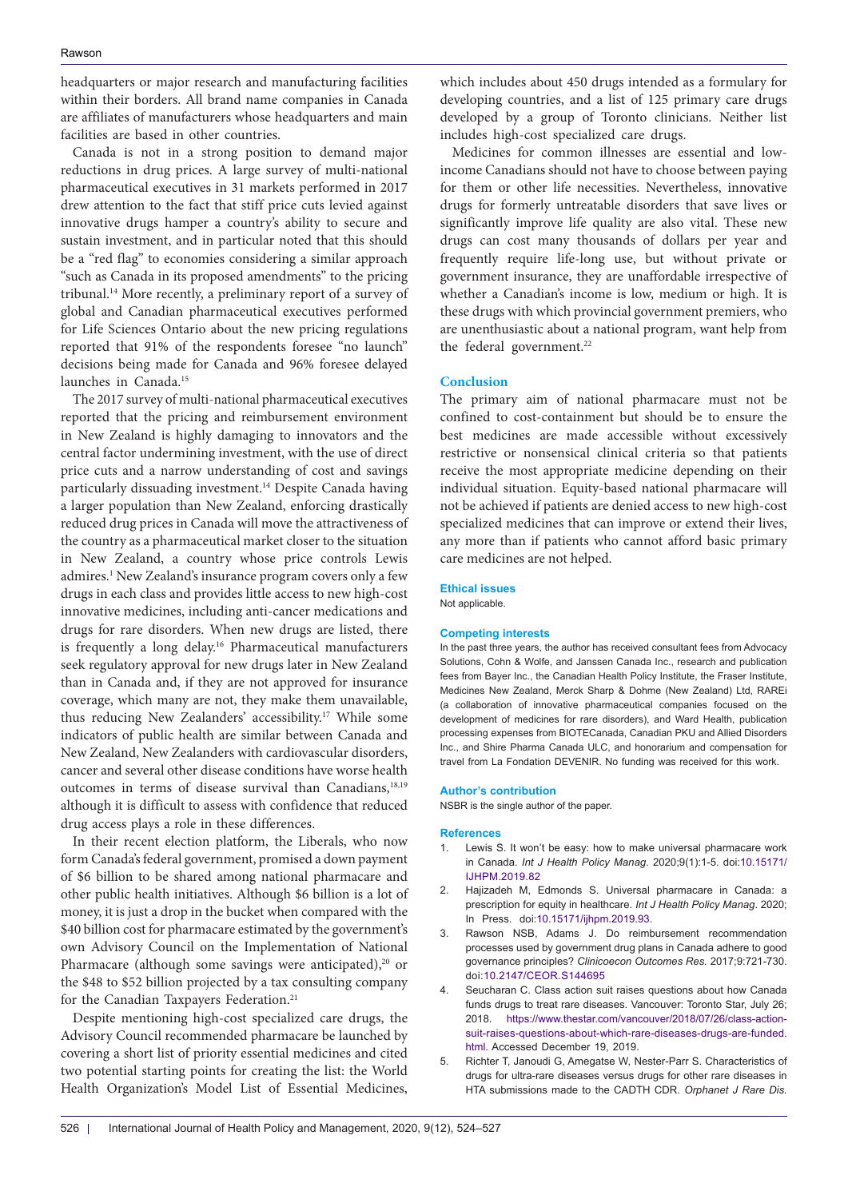headquarters or major research and manufacturing facilities within their borders. All brand name companies in Canada are affiliates of manufacturers whose headquarters and main facilities are based in other countries.

Canada is not in a strong position to demand major reductions in drug prices. A large survey of multi-national pharmaceutical executives in 31 markets performed in 2017 drew attention to the fact that stiff price cuts levied against innovative drugs hamper a country's ability to secure and sustain investment, and in particular noted that this should be a "red flag" to economies considering a similar approach "such as Canada in its proposed amendments" to the pricing tribunal.14 More recently, a preliminary report of a survey of global and Canadian pharmaceutical executives performed for Life Sciences Ontario about the new pricing regulations reported that 91% of the respondents foresee "no launch" decisions being made for Canada and 96% foresee delayed launches in Canada.<sup>15</sup>

The 2017 survey of multi-national pharmaceutical executives reported that the pricing and reimbursement environment in New Zealand is highly damaging to innovators and the central factor undermining investment, with the use of direct price cuts and a narrow understanding of cost and savings particularly dissuading investment.14 Despite Canada having a larger population than New Zealand, enforcing drastically reduced drug prices in Canada will move the attractiveness of the country as a pharmaceutical market closer to the situation in New Zealand, a country whose price controls Lewis admires.<sup>1</sup> New Zealand's insurance program covers only a few drugs in each class and provides little access to new high-cost innovative medicines, including anti-cancer medications and drugs for rare disorders. When new drugs are listed, there is frequently a long delay.16 Pharmaceutical manufacturers seek regulatory approval for new drugs later in New Zealand than in Canada and, if they are not approved for insurance coverage, which many are not, they make them unavailable, thus reducing New Zealanders' accessibility.17 While some indicators of public health are similar between Canada and New Zealand, New Zealanders with cardiovascular disorders, cancer and several other disease conditions have worse health outcomes in terms of disease survival than Canadians,<sup>18,19</sup> although it is difficult to assess with confidence that reduced drug access plays a role in these differences.

In their recent election platform, the Liberals, who now form Canada's federal government, promised a down payment of \$6 billion to be shared among national pharmacare and other public health initiatives. Although \$6 billion is a lot of money, it is just a drop in the bucket when compared with the \$40 billion cost for pharmacare estimated by the government's own Advisory Council on the Implementation of National Pharmacare (although some savings were anticipated), $20$  or the \$48 to \$52 billion projected by a tax consulting company for the Canadian Taxpayers Federation.<sup>21</sup>

Despite mentioning high-cost specialized care drugs, the Advisory Council recommended pharmacare be launched by covering a short list of priority essential medicines and cited two potential starting points for creating the list: the World Health Organization's Model List of Essential Medicines,

which includes about 450 drugs intended as a formulary for developing countries, and a list of 125 primary care drugs developed by a group of Toronto clinicians. Neither list includes high-cost specialized care drugs.

Medicines for common illnesses are essential and lowincome Canadians should not have to choose between paying for them or other life necessities. Nevertheless, innovative drugs for formerly untreatable disorders that save lives or significantly improve life quality are also vital. These new drugs can cost many thousands of dollars per year and frequently require life-long use, but without private or government insurance, they are unaffordable irrespective of whether a Canadian's income is low, medium or high. It is these drugs with which provincial government premiers, who are unenthusiastic about a national program, want help from the federal government.<sup>22</sup>

#### **Conclusion**

The primary aim of national pharmacare must not be confined to cost-containment but should be to ensure the best medicines are made accessible without excessively restrictive or nonsensical clinical criteria so that patients receive the most appropriate medicine depending on their individual situation. Equity-based national pharmacare will not be achieved if patients are denied access to new high-cost specialized medicines that can improve or extend their lives, any more than if patients who cannot afford basic primary care medicines are not helped.

#### **Ethical issues**

Not applicable.

#### **Competing interests**

In the past three years, the author has received consultant fees from Advocacy Solutions, Cohn & Wolfe, and Janssen Canada Inc., research and publication fees from Bayer Inc., the Canadian Health Policy Institute, the Fraser Institute, Medicines New Zealand, Merck Sharp & Dohme (New Zealand) Ltd, RAREi (a collaboration of innovative pharmaceutical companies focused on the development of medicines for rare disorders), and Ward Health, publication processing expenses from BIOTECanada, Canadian PKU and Allied Disorders Inc., and Shire Pharma Canada ULC, and honorarium and compensation for travel from La Fondation DEVENIR. No funding was received for this work.

#### **Author's contribution**

NSBR is the single author of the paper.

#### **References**

- 1. Lewis S. It won't be easy: how to make universal pharmacare work in Canada. *Int J Health Policy Manag*. 2020;9(1):1-5. doi:[10.15171/](http://dx.doi.org/10.15171/ijhpm.2019.82) [IJHPM.2019.82](http://dx.doi.org/10.15171/ijhpm.2019.82)
- Hajizadeh M, Edmonds S. Universal pharmacare in Canada: a prescription for equity in healthcare. *Int J Health Policy Manag*. 2020; In Press. doi:[10.15171/ijhpm.2019.93](https://doi.org/10.15171/ijhpm.2019.93).
- 3. Rawson NSB, Adams J. Do reimbursement recommendation processes used by government drug plans in Canada adhere to good governance principles? *Clinicoecon Outcomes Res.* 2017;9:721-730. doi:[10.2147/CEOR.S144695](https://doi.org/10.2147/CEOR.S144695)
- Seucharan C. Class action suit raises questions about how Canada funds drugs to treat rare diseases. Vancouver: Toronto Star, July 26; 2018. [https://www.thestar.com/vancouver/2018/07/26/class-action](https://www.thestar.com/vancouver/2018/07/26/class-action-suit-raises-questions-about-which-rare-diseases-drugs-are-funded.html)[suit-raises-questions-about-which-rare-diseases-drugs-are-funded.](https://www.thestar.com/vancouver/2018/07/26/class-action-suit-raises-questions-about-which-rare-diseases-drugs-are-funded.html) [html.](https://www.thestar.com/vancouver/2018/07/26/class-action-suit-raises-questions-about-which-rare-diseases-drugs-are-funded.html) Accessed December 19, 2019.
- 5. Richter T, Janoudi G, Amegatse W, Nester-Parr S. Characteristics of drugs for ultra-rare diseases versus drugs for other rare diseases in HTA submissions made to the CADTH CDR. *Orphanet J Rare Dis.*